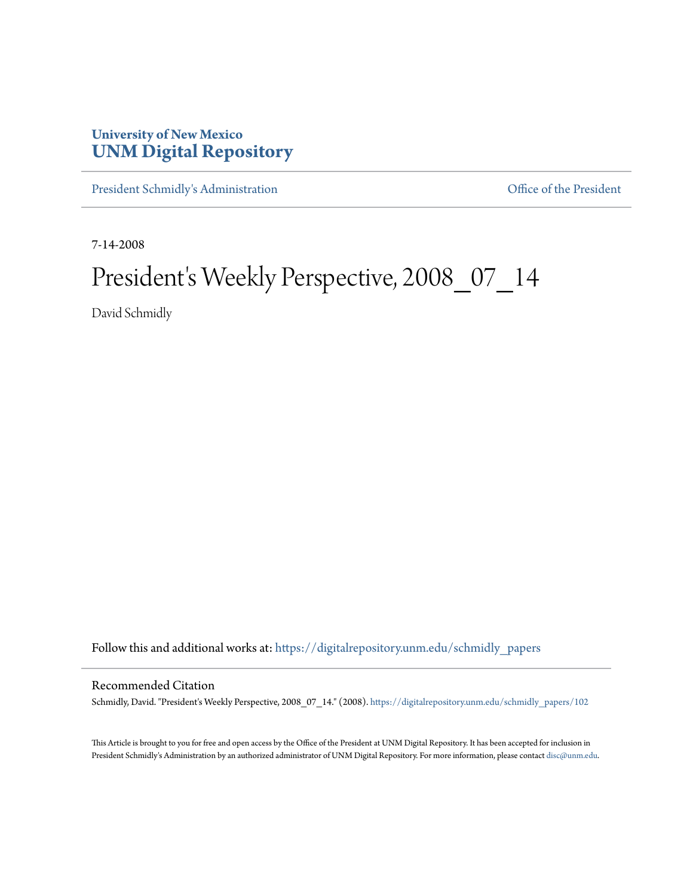## **University of New Mexico [UNM Digital Repository](https://digitalrepository.unm.edu?utm_source=digitalrepository.unm.edu%2Fschmidly_papers%2F102&utm_medium=PDF&utm_campaign=PDFCoverPages)**

[President Schmidly's Administration](https://digitalrepository.unm.edu/schmidly_papers?utm_source=digitalrepository.unm.edu%2Fschmidly_papers%2F102&utm_medium=PDF&utm_campaign=PDFCoverPages) [Office of the President](https://digitalrepository.unm.edu/ofc_president?utm_source=digitalrepository.unm.edu%2Fschmidly_papers%2F102&utm_medium=PDF&utm_campaign=PDFCoverPages)

7-14-2008

## President's Weekly Perspective, 2008\_07\_14

David Schmidly

Follow this and additional works at: [https://digitalrepository.unm.edu/schmidly\\_papers](https://digitalrepository.unm.edu/schmidly_papers?utm_source=digitalrepository.unm.edu%2Fschmidly_papers%2F102&utm_medium=PDF&utm_campaign=PDFCoverPages)

## Recommended Citation

Schmidly, David. "President's Weekly Perspective, 2008\_07\_14." (2008). [https://digitalrepository.unm.edu/schmidly\\_papers/102](https://digitalrepository.unm.edu/schmidly_papers/102?utm_source=digitalrepository.unm.edu%2Fschmidly_papers%2F102&utm_medium=PDF&utm_campaign=PDFCoverPages)

This Article is brought to you for free and open access by the Office of the President at UNM Digital Repository. It has been accepted for inclusion in President Schmidly's Administration by an authorized administrator of UNM Digital Repository. For more information, please contact [disc@unm.edu](mailto:disc@unm.edu).